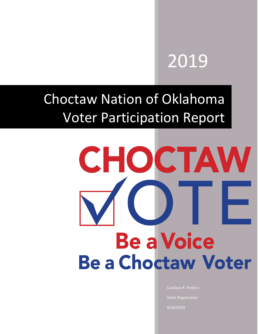## 2019

### Choctaw Nation of Oklahoma Voter Participation Report

9/24/2012 12:00:00 PM 2012 12:00:00 PM 2012 12:00:00 PM 2012 12:00:00 PM 2012 12:00:00 PM 2013

# CHOCTAW **Be a Voice Be a Choctaw Voter**

Candace R. Perkins Voter Registration 9/24/2019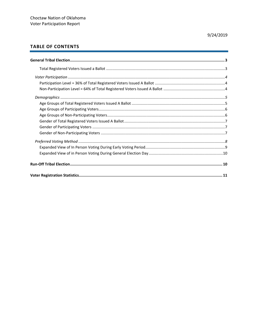#### 9/24/2019

#### **TABLE OF CONTENTS**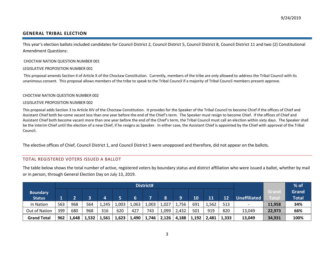#### **GENERAL TRIBAL ELECTION**

This year's election ballots included candidates for Council District 2, Council District 5, Council District 8, Council District 11 and two (2) Constitutional Amendment Questions:

#### CHOCTAW NATION QUESTION NUMBER 001

#### LEGISLATIVE PROPOSITION NUMBER 001

 This proposal amends Section 4 of Article X of the Choctaw Constitution. Currently, members of the tribe are only allowed to address the Tribal Council with its unanimous consent. This proposal allows members of the tribe to speak to the Tribal Council if a majority of Tribal Council members present approve.

#### CHOCTAW NATION QUESTION NUMBER 002

#### LEGISLATIVE PROPOSITION NUMBER 002

<span id="page-2-0"></span>This proposal adds Section 3 to Article XIV of the Choctaw Constitution. It provides for the Speaker of the Tribal Council to become Chief if the offices of Chief and Assistant Chief both be-come vacant less than one year before the end of the Chief's term. The Speaker must resign to become Chief. If the offices of Chief and Assistant Chief both become vacant more than one year before the end of the Chief's term, the Tribal Council must call an election within sixty days. The Speaker shall be the interim Chief until the election of a new Chief, if he resigns as Speaker. In either case, the Assistant Chief is appointed by the Chief with approval of the Tribal Council.

The elective offices of Chief, Council District 1, and Council District 3 were unopposed and therefore, did not appear on the ballots.

#### TOTAL REGISTERED VOTERS ISSUED A BALLOT

The table below shows the total number of active, registered voters by boundary status and district affiliation who were issued a ballot, whether by mail or in person, through General Election Day on July 13, 2019.

<span id="page-2-1"></span>

|                    |     |       |       |       |                     |       | District# |       |       |       |       |       |                          |        | $%$ of |
|--------------------|-----|-------|-------|-------|---------------------|-------|-----------|-------|-------|-------|-------|-------|--------------------------|--------|--------|
| <b>Boundary</b>    |     |       |       |       |                     |       |           |       |       |       |       |       |                          | Granc  | Grand  |
| <b>Status</b>      |     |       |       | 4     | <b>Unaffiliated</b> | Total | Total     |       |       |       |       |       |                          |        |        |
| In Nation          | 563 | 968   | 564   | 1,245 | 1,003               | 1,063 | 1,003     | 1,027 | 1,756 | 691   | 1,562 | 513   | $\overline{\phantom{a}}$ | 11,958 | 34%    |
| Out of Nation      | 399 | 680   | 968   | 316   | 620                 | 427   | 743       | 1,099 | 2,432 | 501   | 919   | 820   | 13,049                   | 22,973 | 66%    |
| <b>Grand Total</b> | 962 | 1,648 | 1,532 | 1,561 | 1,623               | 1,490 | 1,746     | 2,126 | 4,188 | 1,192 | 2,481 | 1,333 | 13,049                   | 34,931 | 100%   |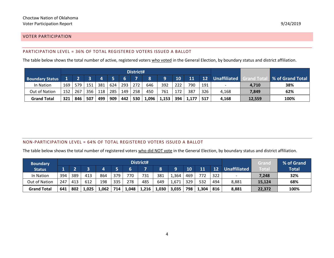#### VOTER PARTICIPATION

#### PARTICIPATION LEVEL = 36% OF TOTAL REGISTERED VOTERS ISSUED A BALLOT

The table below shows the total number of active, registered voters who voted in the General Election, by boundary status and district affiliation.

|                        |     |     |     |     |     |     | District# |       |       |                     |               |                           |       |        |      |
|------------------------|-----|-----|-----|-----|-----|-----|-----------|-------|-------|---------------------|---------------|---------------------------|-------|--------|------|
| <b>Boundary Status</b> |     |     |     |     |     |     |           |       | 12    | <b>Unaffiliated</b> | rand Tot      | <b>8 % of Grand Total</b> |       |        |      |
| In Nation              | 169 | 579 | 151 | 381 | 624 | 293 | 272       | 646   | 392   | 222                 | 790           | 191                       |       | 4,710  | 38%  |
| Out of Nation          | 152 | 267 | 356 | 118 | 285 | 149 | 258       | 450   | 761   | 172                 | 387           | 326                       | 4,168 | 7,849  | 62%  |
| <b>Grand Total</b>     | 321 | 846 | 507 | 499 | 909 | 442 | 530       | 1,096 | 1,153 |                     | $394$   1,177 | 517                       | 4,168 | 12,559 | 100% |

#### <span id="page-3-1"></span><span id="page-3-0"></span>NON-PARTICIPATION LEVEL = 64% OF TOTAL REGISTERED VOTERS ISSUED A BALLOT

The table below shows the total number of registered voters who did NOT vote in the General Election, by boundary status and district affiliation.

<span id="page-3-2"></span>

| <b>Boundary</b>    |     |     |       |       |     |       | District# |       |       |           |       |     |                          | Grand  | % of Grand   |
|--------------------|-----|-----|-------|-------|-----|-------|-----------|-------|-------|-----------|-------|-----|--------------------------|--------|--------------|
| <b>Status</b>      |     |     |       |       |     |       |           |       |       | <b>TO</b> | 11    | 12  | <b>Unaffiliated</b>      | Total  | <b>Total</b> |
| In Nation          | 394 | 389 | 413   | 864   | 379 | 770   | 731       | 381   | 1,364 | 469       | 772   | 322 | $\overline{\phantom{0}}$ | 7,248  | 32%          |
| Out of Nation      | 247 | 413 | 612   | 198   | 335 | 278   | 485       | 649   | 1,671 | 329       | 532   | 494 | 8,881                    | 15,124 | 68%          |
| <b>Grand Total</b> | 641 | 802 | 1,025 | 1,062 | 714 | 1,048 | 1,216     | 1,030 | 3,035 | 798       | 1,304 | 816 | 8,881                    | 22,372 | 100%         |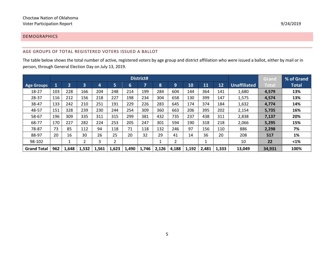#### DEMOGRAPHICS

#### AGE GROUPS OF TOTAL REGISTERED VOTERS ISSUED A BALLOT

The table below shows the total number of active, registered voters by age group and district affiliation who were issued a ballot, either by mail or in person, through General Election Day on July 13, 2019.

<span id="page-4-1"></span><span id="page-4-0"></span>

|                    |     |         |       |       |       |       | District# |       |                |       |       |       |              | Grand  | % of Grand   |
|--------------------|-----|---------|-------|-------|-------|-------|-----------|-------|----------------|-------|-------|-------|--------------|--------|--------------|
| <b>Age Groups</b>  |     | n<br>74 | 3     | 4     | 5     | 6     | ⇁         | 8     | 9              | 10    | 11    | 12    | Unaffiliated | Total  | <b>Total</b> |
| 18-27              | 103 | 228     | 166   | 204   | 248   | 214   | 199       | 284   | 604            | 144   | 364   | 141   | 1,680        | 4,579  | 13%          |
| 28-37              | 116 | 212     | 156   | 218   | 227   | 198   | 234       | 304   | 658            | 130   | 399   | 147   | 1,575        | 4,574  | 13%          |
| 38-47              | 133 | 242     | 210   | 251   | 191   | 229   | 226       | 283   | 645            | 174   | 374   | 184   | 1,632        | 4,774  | 14%          |
| 48-57              | 151 | 328     | 239   | 230   | 244   | 254   | 309       | 360   | 663            | 206   | 395   | 202   | 2,154        | 5,735  | 16%          |
| 58-67              | 196 | 309     | 335   | 311   | 315   | 299   | 381       | 432   | 735            | 237   | 438   | 311   | 2,838        | 7,137  | 20%          |
| 68-77              | 170 | 227     | 282   | 224   | 253   | 205   | 247       | 301   | 594            | 190   | 318   | 218   | 2,066        | 5,295  | 15%          |
| 78-87              | 73  | 85      | 112   | 94    | 118   | 71    | 118       | 132   | 246            | 97    | 156   | 110   | 886          | 2,298  | 7%           |
| 88-97              | 20  | 16      | 30    | 26    | 25    | 20    | 32        | 29    | 41             | 14    | 36    | 20    | 208          | 517    | 1%           |
| 98-102             |     |         | ∍     |       |       |       |           |       | $\overline{2}$ |       |       |       | 10           | 22     | $1%$         |
| <b>Grand Total</b> | 962 | 1,648   | 1,532 | 1,561 | 1,623 | 1,490 | 1,746     | 2,126 | 4,188          | 1,192 | 2,481 | 1,333 | 13,049       | 34.931 | 100%         |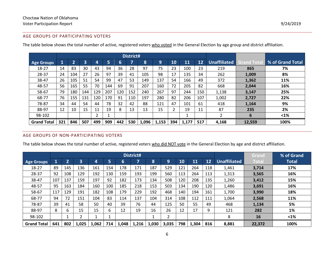#### AGE GROUPS OF PARTICIPATING VOTERS

|                    |     |                |     |     |     |     | District# |       |       |     |       |     |                     |                   |                    |
|--------------------|-----|----------------|-----|-----|-----|-----|-----------|-------|-------|-----|-------|-----|---------------------|-------------------|--------------------|
| <b>Age Groups</b>  | 1   | $\overline{2}$ | 3   | 4   | 5   | 6   | ∍         | 8     | 9     | 10  | 11    | 12  | <b>Unaffiliated</b> | <b>Grand Tota</b> | ■ % of Grand Total |
| 18-27              | 14  | 83             | 30  | 43  | 94  | 36  | 28        | 97    | 75    | 23  | 100   | 23  | 219                 | 865               | 7%                 |
| 28-37              | 24  | 104            | 27  | 26  | 97  | 39  | 41        | 105   | 98    | 17  | 135   | 34  | 262                 | 1,009             | 8%                 |
| 38-47              | 26  | 105            | 51  | 54  | 99  | 47  | 53        | 149   | 137   | 54  | 166   | 49  | 372                 | 1,362             | 11%                |
| 48-57              | 56  | 165            | 55  | 70  | 144 | 69  | 91        | 207   | 160   | 72  | 205   | 82  | 668                 | 2,044             | 16%                |
| 58-67              | 79  | 180            | 144 | 129 | 207 | 120 | 152       | 240   | 267   | 97  | 244   | 150 | 1,138               | 3,147             | 25%                |
| 68-77              | 76  | 155            | 131 | 120 | 170 | 91  | 110       | 197   | 280   | 82  | 206   | 107 | 1,002               | 2,727             | 22%                |
| 78-87              | 34  | 44             | 54  | 44  | 78  | 32  | 42        | 88    | 121   | 47  | 101   | 61  | 418                 | 1,164             | 9%                 |
| 88-97              | 12  | 10             | 15  | 11  | 19  | 8   | 13        | 13    | 15    |     | 19    | 11  | 87                  | 235               | 2%                 |
| 98-102             |     |                |     |     |     |     |           |       |       |     |       |     | ົ                   | 6                 | $1%$               |
| <b>Grand Total</b> | 321 | 846            | 507 | 499 | 909 | 442 | 530       | 1,096 | 1,153 | 394 | 1,177 | 517 | 4,168               | 12,559            | 100%               |

The table below shows the total number of active, registered voters who voted in the General Election by age group and district affiliation.

#### <span id="page-5-0"></span>AGE GROUPS OF NON-PARTICIPATING VOTERS

The table below shows the total number of active, registered voters who did NOT vote in the General Election by age and district affiliation.

<span id="page-5-1"></span>

|                    |     |     |              |       |     |       | District# |       |       |     |       |     |                     | Grand  | % of Grand   |
|--------------------|-----|-----|--------------|-------|-----|-------|-----------|-------|-------|-----|-------|-----|---------------------|--------|--------------|
| <b>Age Groups</b>  |     | n   | 3            | 4     | 5   | 6     |           | 8     | 9     | 10  | 11    | 12  | <b>Unaffiliated</b> | Total  | <b>Total</b> |
| 18-27              | 89  | 145 | 136          | 161   | 154 | 178   | 171       | 187   | 529   | 121 | 264   | 118 | 1,461               | 3,714  | 17%          |
| 28-37              | 92  | 108 | 129          | 192   | 130 | 159   | 193       | 199   | 560   | 113 | 264   | 113 | 1,313               | 3,565  | 16%          |
| 38-47              | 107 | 137 | 159          | 197   | 92  | 182   | 173       | 134   | 508   | 120 | 208   | 135 | 1,260               | 3,412  | 15%          |
| 48-57              | 95  | 163 | 184          | 160   | 100 | 185   | 218       | 153   | 503   | 134 | 190   | 120 | 1,486               | 3,691  | 16%          |
| 58-67              | 117 | 129 | 191          | 182   | 108 | 179   | 229       | 192   | 468   | 140 | 194   | 161 | 1,700               | 3,990  | 18%          |
| 68-77              | 94  | 72  | 151          | 104   | 83  | 114   | 137       | 104   | 314   | 108 | 112   | 111 | 1,064               | 2,568  | 11%          |
| 78-87              | 39  | 41  | 58           | 50    | 40  | 39    | 76        | 44    | 125   | 50  | 55    | 49  | 468                 | 1,134  | 5%           |
| 88-97              | 8   | 6   | 15           | 15    | 6   | 12    | 19        | 16    | 26    | 12  | 17    | 9   | 121                 | 282    | 1%           |
| 98-102             |     |     | <sup>-</sup> |       |     |       |           |       | າ     |     |       |     | 8                   | 16     | $1%$         |
| <b>Grand Total</b> | 641 | 802 | 1,025        | 1,062 | 714 | 1,048 | 1,216     | 1,030 | 3,035 | 798 | 1,304 | 816 | 8,881               | 22,372 | 100%         |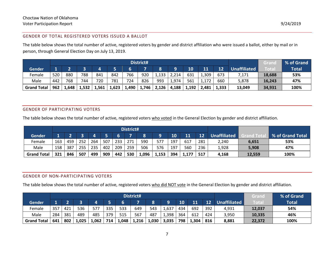#### GENDER OF TOTAL REGISTERED VOTERS ISSUED A BALLOT

The table below shows the total number of active, registered voters by gender and district affiliation who were issued a ballot, either by mail or in person, through General Election Day on July 13, 2019.

|                    |     |       |       |       |       |       | District# |        |       |       |       |       |                     | Grand       | % of Grand   |
|--------------------|-----|-------|-------|-------|-------|-------|-----------|--------|-------|-------|-------|-------|---------------------|-------------|--------------|
| Gender             |     |       |       |       |       |       |           |        |       | 10    | 11    | 12    | <b>Unaffiliated</b> | <b>Tota</b> | <b>Total</b> |
| Female             | 520 | 880   | 788   | 841   | 842   | 673   | 7,171     | 18,688 | 53%   |       |       |       |                     |             |              |
| Male               | 442 | 768   | 744   | 720   | 781   | 724   | 826       | 993    | 1,974 | 561   | 1,172 | 660   | 5,878               | 16,243      | 47%          |
| <b>Grand Total</b> | 962 | 1,648 | 1,532 | 1,561 | 1,623 | 1,490 | 1,746     | 2,126  | 4,188 | 1,192 | 2,481 | 1,333 | 13,049              | 34,931      | 100%         |

#### <span id="page-6-0"></span>GENDER OF PARTICIPATING VOTERS

The table below shows the total number of active, registered voters who voted in the General Election by gender and district affiliation.

|                    |     |     |     |     |     |     | District# |       |       |       |       |     |                     |        |                  |
|--------------------|-----|-----|-----|-----|-----|-----|-----------|-------|-------|-------|-------|-----|---------------------|--------|------------------|
| <b>Gender</b>      |     |     |     |     |     |     |           | Ο     |       | 10    | 11    | 12  | <b>Unaffiliated</b> |        | % of Grand Total |
| Female             | 163 | 459 | 252 | 264 | 507 | 233 | 271       | 590   | 281   | 2,240 | 6,651 | 53% |                     |        |                  |
| Male               | 158 | 387 | 255 | 235 | 402 | 209 | 259       | 506   | 576   | 197   | 560   | 236 | 1,928               | 5,908  | 47%              |
| <b>Grand Total</b> | 321 | 846 | 507 | 499 | 909 | 442 | 530       | 1,096 | 1,153 | 394   | 1,177 | 517 | 4,168               | 12,559 | 100%             |

#### GENDER OF NON-PARTICIPATING VOTERS

<span id="page-6-1"></span>The table below shows the total number of active, registered voters who did NOT vote in the General Election by gender and district affiliation.

<span id="page-6-2"></span>

|                    |     |     |       |       |     |       | District# |       |                     |       |              |     |       | Grand  | % of Grand |
|--------------------|-----|-----|-------|-------|-----|-------|-----------|-------|---------------------|-------|--------------|-----|-------|--------|------------|
| <b>Gender</b>      |     |     |       |       |     |       |           | 12    | <b>Unaffiliated</b> | Total | <b>Total</b> |     |       |        |            |
| Female             | 357 | 421 | 536   | 577   | 335 | 533   | 649       | 543   | .,637               | 434   | 692          | 392 | 4,931 | 12,037 | 54%        |
| Male               | 284 | 381 | 489   | 485   | 379 | 515   | 567       | 487   | 1,398               | 364   | 612          | 424 | 3,950 | 10,335 | 46%        |
| <b>Grand Total</b> | 641 | 802 | 1,025 | 1,062 | 714 | 1,048 | 1,216     | 1,030 | 3,035               | 798   | 1,304        | 816 | 8,881 | 22,372 | 100%       |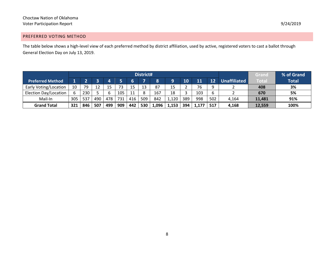#### PREFERRED VOTING METHOD

The table below shows a high-level view of each preferred method by district affiliation, used by active, registered voters to cast a ballot through General Election Day on July 13, 2019.

<span id="page-7-0"></span>

|                         |     |     |     |     |     |                     | District# |       |       |     |       |     |       | Grand  | % of Grand |
|-------------------------|-----|-----|-----|-----|-----|---------------------|-----------|-------|-------|-----|-------|-----|-------|--------|------------|
| <b>Preferred Method</b> |     | G   |     |     |     | <b>Unaffiliated</b> | Total     | Total |       |     |       |     |       |        |            |
| Early Voting/Location   | 10  | 79  | 12  | 15  |     | 15                  |           | 87    | 15    |     | 76    |     |       | 408    | 3%         |
| Election Day/Location   | 6   | 230 |     | 6   | 105 | 11                  |           | 167   | 18    |     | 103   | b   |       | 670    | 5%         |
| Mail-In                 | 305 | 537 | 490 | 478 | 731 | 416                 | 509       | 842   | 1,120 | 389 | 998   | 502 | 4,164 | 11,481 | 91%        |
| <b>Grand Total</b>      | 321 | 846 | 507 | 499 | 909 | 442                 | 530       | 1,096 | 1,153 | 394 | 1,177 | 517 | 4.168 | 12,559 | 100%       |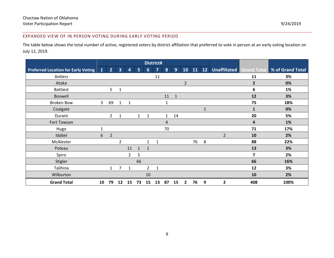#### EXPANDED VIEW OF IN PERSON VOTING DURING EARLY VOTING PERIOD

The table below shows the total number of active, registered voters by district affiliation that preferred to vote in person at an early voting location on July 12, 2019.

<span id="page-8-0"></span>

|                                            |              |                |                         |                |                |                 | District#      |              |              |                |    |    |                |                         |                                           |
|--------------------------------------------|--------------|----------------|-------------------------|----------------|----------------|-----------------|----------------|--------------|--------------|----------------|----|----|----------------|-------------------------|-------------------------------------------|
| <b>Preferred Location for Early Voting</b> | $\mathbf{1}$ | 2 <sup>2</sup> | $\overline{\mathbf{3}}$ | 4              | 5 <sup>1</sup> | $6\phantom{1}6$ | $\overline{7}$ | 8            | 9            | 10             | 11 | 12 |                |                         | Unaffiliated Grand Total % of Grand Total |
| Antlers                                    |              |                |                         |                |                |                 | 11             |              |              |                |    |    |                | 11                      | 3%                                        |
| Atoka                                      |              |                |                         |                |                |                 |                |              |              | $\overline{2}$ |    |    |                | $\overline{\mathbf{2}}$ | 0%                                        |
| <b>Battiest</b>                            |              | 5 <sup>1</sup> | $\mathbf{1}$            |                |                |                 |                |              |              |                |    |    |                | 6                       | 1%                                        |
| <b>Boswell</b>                             |              |                |                         |                |                |                 |                | 11           | $\mathbf{1}$ |                |    |    |                | 12                      | 3%                                        |
| <b>Broken Bow</b>                          | 3            | 69             | $\mathbf{1}$            | 1              |                |                 |                | 1            |              |                |    |    |                | 75                      | 18%                                       |
| Coalgate                                   |              |                |                         |                |                |                 |                |              |              |                |    | 1  |                | 1                       | 0%                                        |
| Durant                                     |              | $\overline{2}$ | 1                       |                | $\mathbf{1}$   | $\mathbf 1$     |                | $\mathbf{1}$ | 14           |                |    |    |                | 20                      | 5%                                        |
| Fort Towson                                |              |                |                         |                |                |                 |                | 4            |              |                |    |    |                | 4                       | 1%                                        |
| Hugo                                       | $\mathbf{1}$ |                |                         |                |                |                 |                | 70           |              |                |    |    |                | 71                      | 17%                                       |
| Idabel                                     | 6            | $\overline{2}$ |                         |                |                |                 |                |              |              |                |    |    | $\overline{2}$ | 10                      | 2%                                        |
| McAlester                                  |              |                | $\overline{2}$          |                |                | $\mathbf{1}$    | 1              |              |              |                | 76 | 8  |                | 88                      | 22%                                       |
| Poteau                                     |              |                |                         | 11             | $\mathbf{1}$   | $\mathbf{1}$    |                |              |              |                |    |    |                | 13                      | 3%                                        |
| Spiro                                      |              |                |                         | $\overline{2}$ | 5              |                 |                |              |              |                |    |    |                | $\overline{7}$          | 2%                                        |
| Stigler                                    |              |                |                         |                | 66             |                 |                |              |              |                |    |    |                | 66                      | 16%                                       |
| Talihina                                   |              | $\mathbf{1}$   | $\overline{7}$          | 1              |                | $\overline{2}$  | 1              |              |              |                |    |    |                | 12                      | 3%                                        |
| Wilburton                                  |              |                |                         |                |                | 10              |                |              |              |                |    |    |                | 10                      | 2%                                        |
| <b>Grand Total</b>                         | 10           | 79             | 12                      | 15             | 73             | 15              | 13             | 87           | 15           | $\mathbf{2}$   | 76 | 9  | 2              | 408                     | 100%                                      |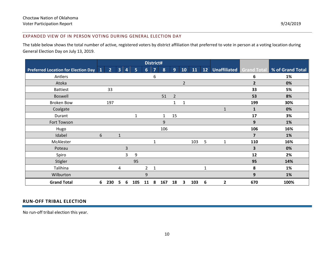#### EXPANDED VIEW OF IN PERSON VOTING DURING GENERAL ELECTION DAY

The table below shows the total number of active, registered voters by district affiliation that preferred to vote in person at a voting location during General Election Day on July 13, 2019.

<span id="page-9-0"></span>

|                                            |   |                |                |                |     |                | District#      |     |                |                |     |                 |                |                |                                             |
|--------------------------------------------|---|----------------|----------------|----------------|-----|----------------|----------------|-----|----------------|----------------|-----|-----------------|----------------|----------------|---------------------------------------------|
| <b>Preferred Location for Election Day</b> | O | 2 <sup>2</sup> | 3 <sup>1</sup> | 4              | 5   | 6 <sup>1</sup> | $\overline{7}$ | 8   | 9              | 10             | 11  | 12 <sup>7</sup> |                |                | Unaffiliated Grand Total   % of Grand Total |
| Antlers                                    |   |                |                |                |     |                | 6              |     |                |                |     |                 |                | 6              | 1%                                          |
| Atoka                                      |   |                |                |                |     |                |                |     |                | $\overline{2}$ |     |                 |                | $\overline{2}$ | 0%                                          |
| <b>Battiest</b>                            |   | 33             |                |                |     |                |                |     |                |                |     |                 |                | 33             | 5%                                          |
| <b>Boswell</b>                             |   |                |                |                |     |                |                | 51  | $\overline{2}$ |                |     |                 |                | 53             | 8%                                          |
| <b>Broken Bow</b>                          |   | 197            |                |                |     |                |                |     | 1              | 1              |     |                 |                | 199            | 30%                                         |
| Coalgate                                   |   |                |                |                |     |                |                |     |                |                |     |                 | $\mathbf{1}$   | 1              | 0%                                          |
| Durant                                     |   |                |                |                | 1   |                |                | 1   | 15             |                |     |                 |                | 17             | 3%                                          |
| Fort Towson                                |   |                |                |                |     |                |                | 9   |                |                |     |                 |                | 9              | 1%                                          |
| Hugo                                       |   |                |                |                |     |                |                | 106 |                |                |     |                 |                | 106            | 16%                                         |
| Idabel                                     | 6 |                | 1              |                |     |                |                |     |                |                |     |                 |                | $\overline{7}$ | 1%                                          |
| McAlester                                  |   |                |                |                |     |                | 1              |     |                |                | 103 | 5               | 1              | 110            | 16%                                         |
| Poteau                                     |   |                |                | $\overline{3}$ |     |                |                |     |                |                |     |                 |                | 3              | 0%                                          |
| Spiro                                      |   |                |                | 3              | 9   |                |                |     |                |                |     |                 |                | 12             | 2%                                          |
| Stigler                                    |   |                |                |                | 95  |                |                |     |                |                |     |                 |                | 95             | 14%                                         |
| Talihina                                   |   |                | 4              |                |     | $\mathbf{2}$   | 1              |     |                |                |     | $\mathbf{1}$    |                | 8              | 1%                                          |
| Wilburton                                  |   |                |                |                |     | 9              |                |     |                |                |     |                 |                | 9              | 1%                                          |
| <b>Grand Total</b>                         | 6 | 230            | 5              | 6              | 105 | 11             | 8              | 167 | 18             | 3              | 103 | 6               | $\overline{2}$ | 670            | 100%                                        |

#### **RUN-OFF TRIBAL ELECTION**

<span id="page-9-1"></span>No run-off tribal election this year.